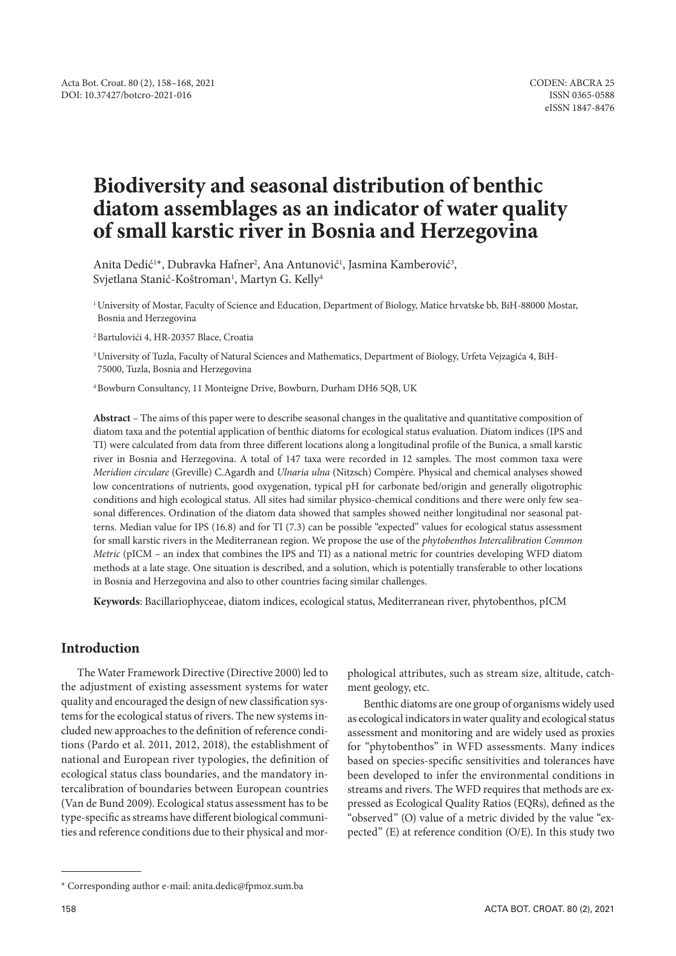# **Biodiversity and seasonal distribution of benthic diatom assemblages as an indicator of water quality of small karstic river in Bosnia and Herzegovina**

Anita Dedić<sup>1\*</sup>, Dubravka Hafner<sup>2</sup>, Ana Antunović<sup>1</sup>, Jasmina Kamberović<sup>3</sup>, Svjetlana Stanić-Koštroman<sup>1</sup>, Martyn G. Kelly<sup>4</sup>

1 University of Mostar, Faculty of Science and Education, Department of Biology, Matice hrvatske bb, BiH-88000 Mostar, Bosnia and Herzegovina

<sup>2</sup>Bartulovići 4, HR-20357 Blace, Croatia

3 University of Tuzla, Faculty of Natural Sciences and Mathematics, Department of Biology, Urfeta Vejzagića 4, BiH-75000, Tuzla, Bosnia and Herzegovina

4 Bowburn Consultancy, 11 Monteigne Drive, Bowburn, Durham DH6 5QB, UK

**Abstract** – The aims of this paper were to describe seasonal changes in the qualitative and quantitative composition of diatom taxa and the potential application of benthic diatoms for ecological status evaluation. Diatom indices (IPS and TI) were calculated from data from three different locations along a longitudinal profile of the Bunica, a small karstic river in Bosnia and Herzegovina. A total of 147 taxa were recorded in 12 samples. The most common taxa were *Meridion circulare* (Greville) C.Agardh and *Ulnaria ulna* (Nitzsch) Compère. Physical and chemical analyses showed low concentrations of nutrients, good oxygenation, typical pH for carbonate bed/origin and generally oligotrophic conditions and high ecological status. All sites had similar physico-chemical conditions and there were only few seasonal differences. Ordination of the diatom data showed that samples showed neither longitudinal nor seasonal patterns. Median value for IPS (16.8) and for TI (7.3) can be possible "expected" values for ecological status assessment for small karstic rivers in the Mediterranean region. We propose the use of the *phytobenthos Intercalibration Common Metric* (pICM – an index that combines the IPS and TI) as a national metric for countries developing WFD diatom methods at a late stage. One situation is described, and a solution, which is potentially transferable to other locations in Bosnia and Herzegovina and also to other countries facing similar challenges.

**Keywords**: Bacillariophyceae, diatom indices, ecological status, Mediterranean river, phytobenthos, pICM

# **Introduction**

The Water Framework Directive (Directive 2000) led to the adjustment of existing assessment systems for water quality and encouraged the design of new classification systems for the ecological status of rivers. The new systems included new approaches to the definition of reference conditions (Pardo et al. 2011, 2012, 2018), the establishment of national and European river typologies, the definition of ecological status class boundaries, and the mandatory intercalibration of boundaries between European countries (Van de Bund 2009). Ecological status assessment has to be type-specific as streams have different biological communities and reference conditions due to their physical and morphological attributes, such as stream size, altitude, catchment geology, etc.

Benthic diatoms are one group of organisms widely used as ecological indicators in water quality and ecological status assessment and monitoring and are widely used as proxies for "phytobenthos" in WFD assessments. Many indices based on species-specific sensitivities and tolerances have been developed to infer the environmental conditions in streams and rivers. The WFD requires that methods are expressed as Ecological Quality Ratios (EQRs), defined as the "observed" (O) value of a metric divided by the value "expected" (E) at reference condition (O/E). In this study two

<sup>\*</sup> Corresponding author e-mail: anita.dedic@fpmoz.sum.ba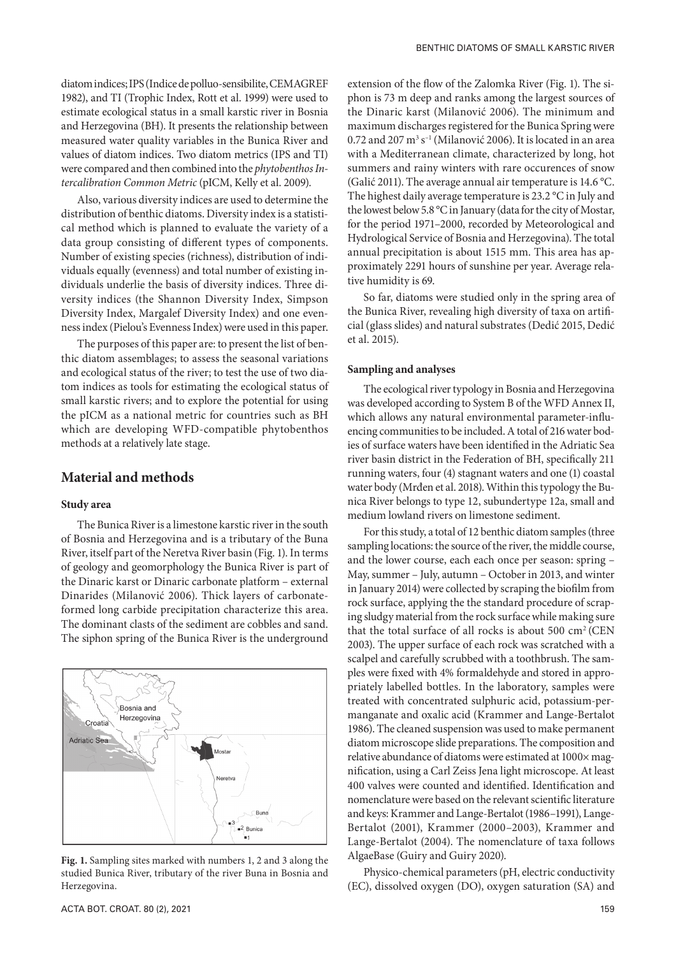diatom indices; IPS (Indice de polluo-sensibilite, CEMAGREF 1982), and TI (Trophic Index, Rott et al. 1999) were used to estimate ecological status in a small karstic river in Bosnia and Herzegovina (BH). It presents the relationship between measured water quality variables in the Bunica River and values of diatom indices. Two diatom metrics (IPS and TI) were compared and then combined into the *phytobenthos Intercalibration Common Metric* (pICM, Kelly et al. 2009).

Also, various diversity indices are used to determine the distribution of benthic diatoms. Diversity index is a statistical method which is planned to evaluate the variety of a data group consisting of different types of components. Number of existing species (richness), distribution of individuals equally (evenness) and total number of existing individuals underlie the basis of diversity indices. Three diversity indices (the Shannon Diversity Index, Simpson Diversity Index, Margalef Diversity Index) and one evenness index (Pielou's Evenness Index) were used in this paper.

The purposes of this paper are: to present the list of benthic diatom assemblages; to assess the seasonal variations and ecological status of the river; to test the use of two diatom indices as tools for estimating the ecological status of small karstic rivers; and to explore the potential for using the pICM as a national metric for countries such as BH which are developing WFD-compatible phytobenthos methods at a relatively late stage.

## **Material and methods**

### **Study area**

The Bunica River is a limestone karstic river in the south of Bosnia and Herzegovina and is a tributary of the Buna River, itself part of the Neretva River basin (Fig. 1). In terms of geology and geomorphology the Bunica River is part of the Dinaric karst or Dinaric carbonate platform – external Dinarides (Milanović 2006). Thick layers of carbonateformed long carbide precipitation characterize this area. The dominant clasts of the sediment are cobbles and sand. The siphon spring of the Bunica River is the underground



**Fig. 1.** Sampling sites marked with numbers 1, 2 and 3 along the studied Bunica River, tributary of the river Buna in Bosnia and Herzegovina.

extension of the flow of the Zalomka River (Fig. 1). The siphon is 73 m deep and ranks among the largest sources of the Dinaric karst (Milanović 2006). The minimum and maximum discharges registered for the Bunica Spring were  $0.72$  and  $207 \text{ m}^3 \text{ s}^{-1}$  (Milanović 2006). It is located in an area with a Mediterranean climate, characterized by long, hot summers and rainy winters with rare occurences of snow (Galić 2011). The average annual air temperature is 14.6 °C. The highest daily average temperature is 23.2 °C in July and the lowest below 5.8 °C in January (data for the city of Mostar, for the period 1971–2000, recorded by Meteorological and Hydrological Service of Bosnia and Herzegovina). The total annual precipitation is about 1515 mm. This area has approximately 2291 hours of sunshine per year. Average relative humidity is 69.

So far, diatoms were studied only in the spring area of the Bunica River, revealing high diversity of taxa on artificial (glass slides) and natural substrates (Dedić 2015, Dedić et al. 2015).

#### **Sampling and analyses**

The ecological river typology in Bosnia and Herzegovina was developed according to System B of the WFD Annex II, which allows any natural environmental parameter-influencing communities to be included. A total of 216 water bodies of surface waters have been identified in the Adriatic Sea river basin district in the Federation of BH, specifically 211 running waters, four (4) stagnant waters and one (1) coastal water body (Mrđen et al. 2018). Within this typology the Bunica River belongs to type 12, subundertype 12a, small and medium lowland rivers on limestone sediment.

For this study, a total of 12 benthic diatom samples (three sampling locations: the source of the river, the middle course, and the lower course, each each once per season: spring – May, summer – July, autumn – October in 2013, and winter in January 2014) were collected by scraping the biofilm from rock surface, applying the the standard procedure of scraping sludgy material from the rock surface while making sure that the total surface of all rocks is about 500 cm2 (CEN 2003). The upper surface of each rock was scratched with a scalpel and carefully scrubbed with a toothbrush. The samples were fixed with 4% formaldehyde and stored in appropriately labelled bottles. In the laboratory, samples were treated with concentrated sulphuric acid, potassium-permanganate and oxalic acid (Krammer and Lange-Bertalot 1986). The cleaned suspension was used to make permanent diatom microscope slide preparations. The composition and relative abundance of diatoms were estimated at 1000× magnification, using a Carl Zeiss Jena light microscope. At least 400 valves were counted and identified. Identification and nomenclature were based on the relevant scientific literature and keys: Krammer and Lange-Bertalot (1986–1991), Lange-Bertalot (2001), Krammer (2000–2003), Krammer and Lange-Bertalot (2004). The nomenclature of taxa follows AlgaeBase (Guiry and Guiry 2020).

Physico-chemical parameters (pH, electric conductivity (EC), dissolved oxygen (DO), oxygen saturation (SA) and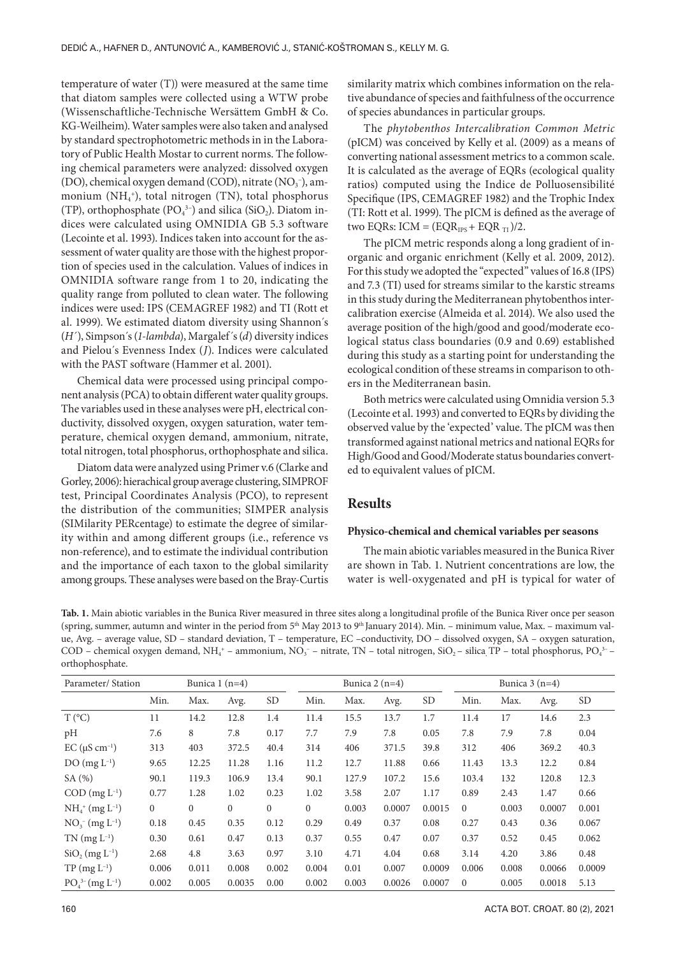temperature of water (T)) were measured at the same time that diatom samples were collected using a WTW probe (Wissenschaftliche-Technische Wersättem GmbH & Co. KG-Weilheim). Water samples were also taken and analysed by standard spectrophotometric methods in in the Laboratory of Public Health Mostar to current norms. The following chemical parameters were analyzed: dissolved oxygen (DO), chemical oxygen demand (COD), nitrate  $(NO<sub>3</sub><sup>-</sup>)$ , ammonium (NH4 + ), total nitrogen (TN), total phosphorus (TP), orthophosphate ( $PO<sub>4</sub><sup>3-</sup>$ ) and silica (SiO<sub>2</sub>). Diatom indices were calculated using OMNIDIA GB 5.3 software (Lecointe et al. 1993). Indices taken into account for the assessment of water quality are those with the highest proportion of species used in the calculation. Values of indices in OMNIDIA software range from 1 to 20, indicating the quality range from polluted to clean water. The following indices were used: IPS (CEMAGREF 1982) and TI (Rott et al. 1999). We estimated diatom diversity using Shannon´s (*H´*), Simpson´s (*1-lambda*), Margalef´s (*d*) diversity indices and Pielou´s Evenness Index (*J*). Indices were calculated with the PAST software (Hammer et al. 2001).

Chemical data were processed using principal component analysis (PCA) to obtain different water quality groups. The variables used in these analyses were pH, electrical conductivity, dissolved oxygen, oxygen saturation, water temperature, chemical oxygen demand, ammonium, nitrate, total nitrogen, total phosphorus, orthophosphate and silica.

Diatom data were analyzed using Primer v.6 (Clarke and Gorley, 2006): hierachical group average clustering, SIMPROF test, Principal Coordinates Analysis (PCO), to represent the distribution of the communities; SIMPER analysis (SIMilarity PERcentage) to estimate the degree of similarity within and among different groups (i.e., reference vs non-reference), and to estimate the individual contribution and the importance of each taxon to the global similarity among groups. These analyses were based on the Bray-Curtis similarity matrix which combines information on the relative abundance of species and faithfulness of the occurrence of species abundances in particular groups.

The *phytobenthos Intercalibration Common Metric* (pICM) was conceived by Kelly et al. (2009) as a means of converting national assessment metrics to a common scale. It is calculated as the average of EQRs (ecological quality ratios) computed using the Indice de Polluosensibilité Specifique (IPS, CEMAGREF 1982) and the Trophic Index (TI: Rott et al. 1999). The pICM is defined as the average of two EQRs: ICM =  $(EQR_{IPS} + EQR_{TI})/2$ .

The pICM metric responds along a long gradient of inorganic and organic enrichment (Kelly et al. 2009, 2012). For this study we adopted the "expected" values of 16.8 (IPS) and 7.3 (TI) used for streams similar to the karstic streams in this study during the Mediterranean phytobenthos intercalibration exercise (Almeida et al. 2014). We also used the average position of the high/good and good/moderate ecological status class boundaries (0.9 and 0.69) established during this study as a starting point for understanding the ecological condition of these streams in comparison to others in the Mediterranean basin.

Both metrics were calculated using Omnidia version 5.3 (Lecointe et al. 1993) and converted to EQRs by dividing the observed value by the 'expected' value. The pICM was then transformed against national metrics and national EQRs for High/Good and Good/Moderate status boundaries converted to equivalent values of pICM.

# **Results**

#### **Physico-chemical and chemical variables per seasons**

The main abiotic variables measured in the Bunica River are shown in Tab. 1. Nutrient concentrations are low, the water is well-oxygenated and pH is typical for water of

**Tab. 1.** Main abiotic variables in the Bunica River measured in three sites along a longitudinal profile of the Bunica River once per season (spring, summer, autumn and winter in the period from 5<sup>th</sup> May 2013 to 9<sup>th</sup> January 2014). Min. - minimum value, Max. - maximum value, Avg. – average value, SD – standard deviation, T – temperature, EC –conductivity, DO – dissolved oxygen, SA – oxygen saturation, COD – chemical oxygen demand, NH<sub>4</sub><sup>+</sup> – ammonium, NO<sub>3</sub><sup>-</sup> – nitrate, TN – total nitrogen, SiO<sub>2</sub> – silica<sub>,</sub> TP – total phosphorus, PO<sub>4</sub><sup>3-</sup> – orthophosphate.

| Parameter/Station                 |                |          | Bunica $1(n=4)$ |                |          | Bunica $2(n=4)$ |        |           | Bunica $3(n=4)$ |       |        |           |
|-----------------------------------|----------------|----------|-----------------|----------------|----------|-----------------|--------|-----------|-----------------|-------|--------|-----------|
|                                   | Min.           | Max.     | Avg.            | <b>SD</b>      | Min.     | Max.            | Avg.   | <b>SD</b> | Min.            | Max.  | Avg.   | <b>SD</b> |
| $T (^{\circ}C)$                   | 11             | 14.2     | 12.8            | 1.4            | 11.4     | 15.5            | 13.7   | 1.7       | 11.4            | 17    | 14.6   | 2.3       |
| pH                                | 7.6            | 8        | 7.8             | 0.17           | 7.7      | 7.9             | 7.8    | 0.05      | 7.8             | 7.9   | 7.8    | 0.04      |
| $EC (\mu S cm^{-1})$              | 313            | 403      | 372.5           | 40.4           | 314      | 406             | 371.5  | 39.8      | 312             | 406   | 369.2  | 40.3      |
| $DO(mg L^{-1})$                   | 9.65           | 12.25    | 11.28           | 1.16           | 11.2     | 12.7            | 11.88  | 0.66      | 11.43           | 13.3  | 12.2   | 0.84      |
| SA(%)                             | 90.1           | 119.3    | 106.9           | 13.4           | 90.1     | 127.9           | 107.2  | 15.6      | 103.4           | 132   | 120.8  | 12.3      |
| $COD$ (mg $L^{-1}$ )              | 0.77           | 1.28     | 1.02            | 0.23           | 1.02     | 3.58            | 2.07   | 1.17      | 0.89            | 2.43  | 1.47   | 0.66      |
| $NH4+ (mg L-1)$                   | $\overline{0}$ | $\Omega$ | $\mathbf{0}$    | $\overline{0}$ | $\Omega$ | 0.003           | 0.0007 | 0.0015    | $\Omega$        | 0.003 | 0.0007 | 0.001     |
| $NO_3^-$ (mg $L^{-1}$ )           | 0.18           | 0.45     | 0.35            | 0.12           | 0.29     | 0.49            | 0.37   | 0.08      | 0.27            | 0.43  | 0.36   | 0.067     |
| $TN$ (mg $L^{-1}$ )               | 0.30           | 0.61     | 0.47            | 0.13           | 0.37     | 0.55            | 0.47   | 0.07      | 0.37            | 0.52  | 0.45   | 0.062     |
| $SiO2 (mg L-1)$                   | 2.68           | 4.8      | 3.63            | 0.97           | 3.10     | 4.71            | 4.04   | 0.68      | 3.14            | 4.20  | 3.86   | 0.48      |
| $TP (mg L^{-1})$                  | 0.006          | 0.011    | 0.008           | 0.002          | 0.004    | 0.01            | 0.007  | 0.0009    | 0.006           | 0.008 | 0.0066 | 0.0009    |
| $PO_4^{3-}$ (mg L <sup>-1</sup> ) | 0.002          | 0.005    | 0.0035          | 0.00           | 0.002    | 0.003           | 0.0026 | 0.0007    | $\Omega$        | 0.005 | 0.0018 | 5.13      |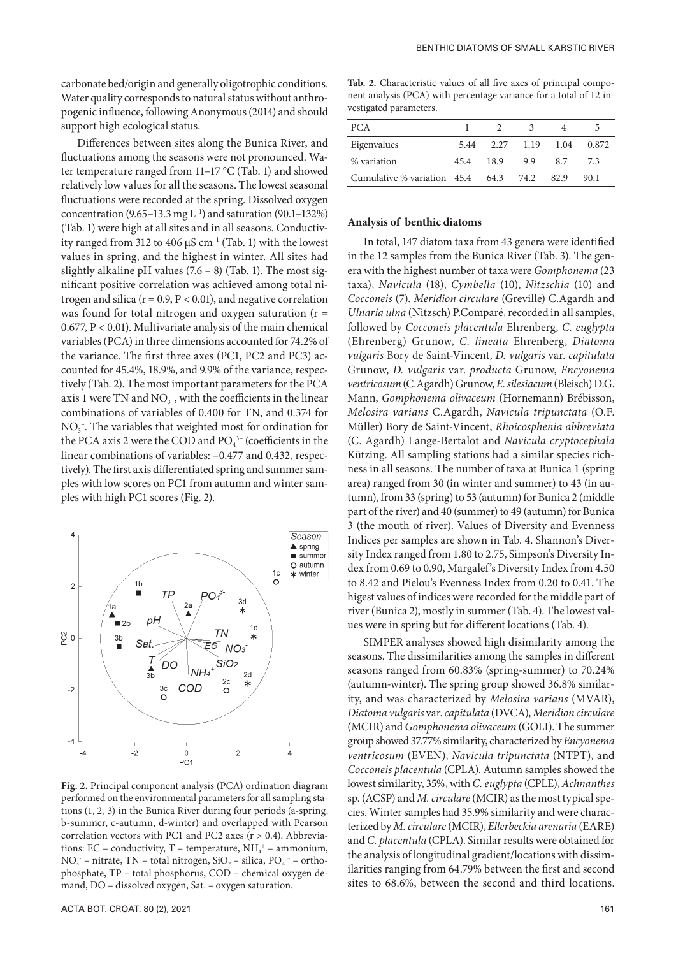carbonate bed/origin and generally oligotrophic conditions. Water quality corresponds to natural status without anthropogenic influence, following Anonymous (2014) and should support high ecological status.

Differences between sites along the Bunica River, and fluctuations among the seasons were not pronounced. Water temperature ranged from 11–17 °C (Tab. 1) and showed relatively low values for all the seasons. The lowest seasonal fluctuations were recorded at the spring. Dissolved oxygen concentration  $(9.65-13.3 \text{ mg L}^{-1})$  and saturation  $(90.1-132\%)$ (Tab. 1) were high at all sites and in all seasons. Conductivity ranged from 312 to 406  $\mu$ S cm<sup>-1</sup> (Tab. 1) with the lowest values in spring, and the highest in winter. All sites had slightly alkaline pH values  $(7.6 - 8)$  (Tab. 1). The most significant positive correlation was achieved among total nitrogen and silica ( $r = 0.9$ ,  $P < 0.01$ ), and negative correlation was found for total nitrogen and oxygen saturation ( $r =$ 0.677, P < 0.01). Multivariate analysis of the main chemical variables (PCA) in three dimensions accounted for 74.2% of the variance. The first three axes (PC1, PC2 and PC3) accounted for 45.4%, 18.9%, and 9.9% of the variance, respectively (Tab. 2). The most important parameters for the PCA axis 1 were TN and  $NO<sub>3</sub><sup>-</sup>$ , with the coefficients in the linear combinations of variables of 0.400 for TN, and 0.374 for  $NO<sub>3</sub>$ . The variables that weighted most for ordination for the PCA axis 2 were the COD and  $PO<sub>4</sub><sup>3-</sup>$  (coefficients in the linear combinations of variables:  $-0.477$  and 0.432, respectively). The first axis differentiated spring and summer samples with low scores on PC1 from autumn and winter samples with high PC1 scores (Fig. 2).



**Fig. 2.** Principal component analysis (PCA) ordination diagram performed on the environmental parameters for all sampling stations (1, 2, 3) in the Bunica River during four periods (a-spring, b-summer, c-autumn, d-winter) and overlapped with Pearson correlation vectors with PC1 and PC2 axes (r > 0.4). Abbreviations: EC – conductivity, T – temperature,  $NH_4^+$  – ammonium,  $NO<sub>3</sub>$  – nitrate, TN – total nitrogen, SiO<sub>2</sub> – silica, PO<sub>4</sub><sup>3</sup> – orthophosphate, TP – total phosphorus, COD – chemical oxygen demand, DO – dissolved oxygen, Sat. – oxygen saturation.

**Tab. 2.** Characteristic values of all five axes of principal component analysis (PCA) with percentage variance for a total of 12 investigated parameters.

| PCA.                        |      | $\mathcal{L}$ | $\mathbf{R}$ |      | $\mathcal{L}$ |
|-----------------------------|------|---------------|--------------|------|---------------|
| Eigenvalues                 | 5.44 | 2.27 1.19     |              | 1.04 | 0.872         |
| % variation                 | 45.4 | 18.9          | 9.9          | 8.7  | 73            |
| Cumulative % variation 45.4 |      | 64.3          | 74.2         | 82.9 | 90.1          |

#### **Analysis of benthic diatoms**

In total, 147 diatom taxa from 43 genera were identified in the 12 samples from the Bunica River (Tab. 3). The genera with the highest number of taxa were *Gomphonema* (23 taxa), *Navicula* (18), *Cymbella* (10), *Nitzschia* (10) and *Cocconeis* (7). *Meridion circulare* (Greville) C.Agardh and *Ulnaria ulna* (Nitzsch) P.Comparé, recorded in all samples, followed by *Cocconeis placentula* Ehrenberg, *C. euglypta* (Ehrenberg) Grunow, *C. lineata* Ehrenberg, *Diatoma vulgaris* Bory de Saint-Vincent, *D. vulgaris* var. *capitulata*  Grunow, *D. vulgaris* var. *producta* Grunow, *Encyonema ventricosum* (C.Agardh) Grunow, *E. silesiacum* (Bleisch) D.G. Mann, *Gomphonema olivaceum* (Hornemann) Brébisson, *Melosira varians* C.Agardh, *Navicula tripunctata* (O.F. Müller) Bory de Saint-Vincent, *Rhoicosphenia abbreviata* (C. Agardh) Lange-Bertalot and *Navicula cryptocephala* Kützing. All sampling stations had a similar species richness in all seasons. The number of taxa at Bunica 1 (spring area) ranged from 30 (in winter and summer) to 43 (in autumn), from 33 (spring) to 53 (autumn) for Bunica 2 (middle part of the river) and 40 (summer) to 49 (autumn) for Bunica 3 (the mouth of river). Values of Diversity and Evenness Indices per samples are shown in Tab. 4. Shannon's Diversity Index ranged from 1.80 to 2.75, Simpson's Diversity Index from 0.69 to 0.90, Margalef's Diversity Index from 4.50 to 8.42 and Pielou's Evenness Index from 0.20 to 0.41. The higest values of indices were recorded for the middle part of river (Bunica 2), mostly in summer (Tab. 4). The lowest values were in spring but for different locations (Tab. 4).

SIMPER analyses showed high disimilarity among the seasons. The dissimilarities among the samples in different seasons ranged from 60.83% (spring-summer) to 70.24% (autumn-winter). The spring group showed 36.8% similarity, and was characterized by *Melosira varians* (MVAR), *Diatoma vulgaris* var. *capitulata* (DVCA), *Meridion circulare*  (MCIR) and *Gomphonema olivaceum* (GOLI). The summer group showed 37.77% similarity, characterized by *Encyonema ventricosum* (EVEN), *Navicula tripunctata* (NTPT), and *Cocconeis placentula* (CPLA). Autumn samples showed the lowest similarity, 35%, with *C. euglypta* (CPLE), *Achnanthes* sp. (ACSP) and *M. circulare* (MCIR) as the most typical species. Winter samples had 35.9% similarity and were characterized by *M. circulare* (MCIR), *Ellerbeckia arenaria* (EARE) and *C. placentula* (CPLA). Similar results were obtained for the analysis of longitudinal gradient/locations with dissimilarities ranging from 64.79% between the first and second sites to 68.6%, between the second and third locations.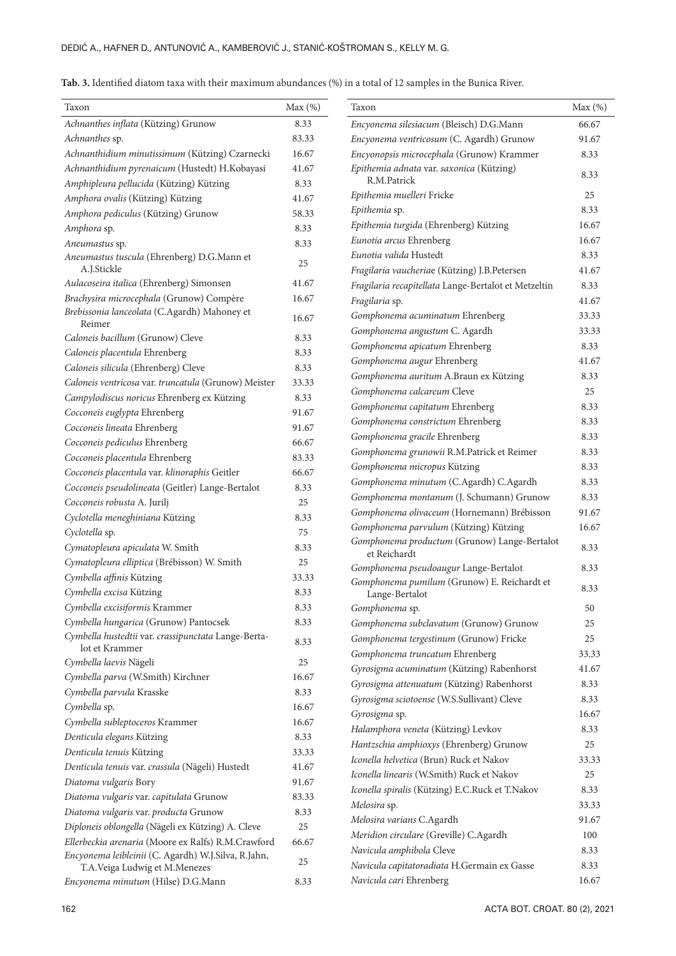| Tab. 3. Identified diatom taxa with their maximum abundances (%) in a total of 12 samples in the Bunica River. |  |
|----------------------------------------------------------------------------------------------------------------|--|
|----------------------------------------------------------------------------------------------------------------|--|

| Achnanthes inflata (Kützing) Grunow<br>8.33<br>Encyonema silesiacum (Bleisch) D.G.Mann<br>66.67<br>Achnanthes sp.<br>83.33<br>Encyonema ventricosum (C. Agardh) Grunow<br>91.67<br>Achnanthidium minutissimum (Kützing) Czarnecki<br>16.67<br>Encyonopsis microcephala (Grunow) Krammer<br>8.33<br>Achnanthidium pyrenaicum (Hustedt) H.Kobayasi<br>41.67<br>Epithemia adnata var. saxonica (Kützing)<br>8.33<br>R.M.Patrick<br>Amphipleura pellucida (Kützing) Kützing<br>8.33<br>Epithemia muelleri Fricke<br>25<br>Amphora ovalis (Kützing) Kützing<br>41.67<br>8.33<br>Epithemia sp.<br>Amphora pediculus (Kützing) Grunow<br>58.33<br>Epithemia turgida (Ehrenberg) Kützing<br>16.67<br>8.33<br>Amphora sp.<br>Eunotia arcus Ehrenberg<br>16.67<br>8.33<br>Aneumastus sp.<br>Eunotia valida Hustedt<br>8.33<br>Aneumastus tuscula (Ehrenberg) D.G.Mann et<br>25<br>A.J.Stickle<br>Fragilaria vaucheriae (Kützing) J.B.Petersen<br>41.67<br>Aulacoseira italica (Ehrenberg) Simonsen<br>41.67<br>Fragilaria recapitellata Lange-Bertalot et Metzeltin<br>8.33 |
|-------------------------------------------------------------------------------------------------------------------------------------------------------------------------------------------------------------------------------------------------------------------------------------------------------------------------------------------------------------------------------------------------------------------------------------------------------------------------------------------------------------------------------------------------------------------------------------------------------------------------------------------------------------------------------------------------------------------------------------------------------------------------------------------------------------------------------------------------------------------------------------------------------------------------------------------------------------------------------------------------------------------------------------------------------------------|
|                                                                                                                                                                                                                                                                                                                                                                                                                                                                                                                                                                                                                                                                                                                                                                                                                                                                                                                                                                                                                                                                   |
|                                                                                                                                                                                                                                                                                                                                                                                                                                                                                                                                                                                                                                                                                                                                                                                                                                                                                                                                                                                                                                                                   |
|                                                                                                                                                                                                                                                                                                                                                                                                                                                                                                                                                                                                                                                                                                                                                                                                                                                                                                                                                                                                                                                                   |
|                                                                                                                                                                                                                                                                                                                                                                                                                                                                                                                                                                                                                                                                                                                                                                                                                                                                                                                                                                                                                                                                   |
|                                                                                                                                                                                                                                                                                                                                                                                                                                                                                                                                                                                                                                                                                                                                                                                                                                                                                                                                                                                                                                                                   |
|                                                                                                                                                                                                                                                                                                                                                                                                                                                                                                                                                                                                                                                                                                                                                                                                                                                                                                                                                                                                                                                                   |
|                                                                                                                                                                                                                                                                                                                                                                                                                                                                                                                                                                                                                                                                                                                                                                                                                                                                                                                                                                                                                                                                   |
|                                                                                                                                                                                                                                                                                                                                                                                                                                                                                                                                                                                                                                                                                                                                                                                                                                                                                                                                                                                                                                                                   |
|                                                                                                                                                                                                                                                                                                                                                                                                                                                                                                                                                                                                                                                                                                                                                                                                                                                                                                                                                                                                                                                                   |
|                                                                                                                                                                                                                                                                                                                                                                                                                                                                                                                                                                                                                                                                                                                                                                                                                                                                                                                                                                                                                                                                   |
|                                                                                                                                                                                                                                                                                                                                                                                                                                                                                                                                                                                                                                                                                                                                                                                                                                                                                                                                                                                                                                                                   |
| Brachysira microcephala (Grunow) Compère<br>16.67<br>Fragilaria sp.<br>41.67                                                                                                                                                                                                                                                                                                                                                                                                                                                                                                                                                                                                                                                                                                                                                                                                                                                                                                                                                                                      |
| Brebissonia lanceolata (C.Agardh) Mahoney et<br>33.33                                                                                                                                                                                                                                                                                                                                                                                                                                                                                                                                                                                                                                                                                                                                                                                                                                                                                                                                                                                                             |
| Gomphonema acuminatum Ehrenberg<br>16.67<br>Reimer<br>Gomphonema angustum C. Agardh<br>33.33                                                                                                                                                                                                                                                                                                                                                                                                                                                                                                                                                                                                                                                                                                                                                                                                                                                                                                                                                                      |
| Caloneis bacillum (Grunow) Cleve<br>8.33<br>Gomphonema apicatum Ehrenberg<br>8.33                                                                                                                                                                                                                                                                                                                                                                                                                                                                                                                                                                                                                                                                                                                                                                                                                                                                                                                                                                                 |
| Caloneis placentula Ehrenberg<br>8.33<br>Gomphonema augur Ehrenberg<br>41.67                                                                                                                                                                                                                                                                                                                                                                                                                                                                                                                                                                                                                                                                                                                                                                                                                                                                                                                                                                                      |
| Caloneis silicula (Ehrenberg) Cleve<br>8.33                                                                                                                                                                                                                                                                                                                                                                                                                                                                                                                                                                                                                                                                                                                                                                                                                                                                                                                                                                                                                       |
| Gomphonema auritum A.Braun ex Kützing<br>8.33<br>Caloneis ventricosa var. truncatula (Grunow) Meister<br>33.33<br>25                                                                                                                                                                                                                                                                                                                                                                                                                                                                                                                                                                                                                                                                                                                                                                                                                                                                                                                                              |
| Gomphonema calcareum Cleve<br>Campylodiscus noricus Ehrenberg ex Kützing<br>8.33                                                                                                                                                                                                                                                                                                                                                                                                                                                                                                                                                                                                                                                                                                                                                                                                                                                                                                                                                                                  |
| Gomphonema capitatum Ehrenberg<br>8.33<br>Cocconeis euglypta Ehrenberg<br>91.67                                                                                                                                                                                                                                                                                                                                                                                                                                                                                                                                                                                                                                                                                                                                                                                                                                                                                                                                                                                   |
| Gomphonema constrictum Ehrenberg<br>8.33<br>Cocconeis lineata Ehrenberg<br>91.67                                                                                                                                                                                                                                                                                                                                                                                                                                                                                                                                                                                                                                                                                                                                                                                                                                                                                                                                                                                  |
| Gomphonema gracile Ehrenberg<br>8.33<br>Cocconeis pediculus Ehrenberg<br>66.67                                                                                                                                                                                                                                                                                                                                                                                                                                                                                                                                                                                                                                                                                                                                                                                                                                                                                                                                                                                    |
| Gomphonema grunowii R.M.Patrick et Reimer<br>8.33<br>Cocconeis placentula Ehrenberg<br>83.33                                                                                                                                                                                                                                                                                                                                                                                                                                                                                                                                                                                                                                                                                                                                                                                                                                                                                                                                                                      |
| Gomphonema micropus Kützing<br>8.33<br>Cocconeis placentula var. klinoraphis Geitler<br>66.67                                                                                                                                                                                                                                                                                                                                                                                                                                                                                                                                                                                                                                                                                                                                                                                                                                                                                                                                                                     |
| Gomphonema minutum (C.Agardh) C.Agardh<br>8.33<br>Cocconeis pseudolineata (Geitler) Lange-Bertalot<br>8.33                                                                                                                                                                                                                                                                                                                                                                                                                                                                                                                                                                                                                                                                                                                                                                                                                                                                                                                                                        |
| Gomphonema montanum (J. Schumann) Grunow<br>8.33<br>Cocconeis robusta A. Jurilj<br>25                                                                                                                                                                                                                                                                                                                                                                                                                                                                                                                                                                                                                                                                                                                                                                                                                                                                                                                                                                             |
| Gomphonema olivaceum (Hornemann) Brébisson<br>91.67<br>Cyclotella meneghiniana Kützing<br>8.33                                                                                                                                                                                                                                                                                                                                                                                                                                                                                                                                                                                                                                                                                                                                                                                                                                                                                                                                                                    |
| Gomphonema parvulum (Kützing) Kützing<br>16.67<br>75<br>Cyclotella sp.                                                                                                                                                                                                                                                                                                                                                                                                                                                                                                                                                                                                                                                                                                                                                                                                                                                                                                                                                                                            |
| Gomphonema productum (Grunow) Lange-Bertalot<br>Cymatopleura apiculata W. Smith<br>8.33<br>8.33<br>et Reichardt                                                                                                                                                                                                                                                                                                                                                                                                                                                                                                                                                                                                                                                                                                                                                                                                                                                                                                                                                   |
| Cymatopleura elliptica (Brébisson) W. Smith<br>25<br>Gomphonema pseudoaugur Lange-Bertalot<br>8.33                                                                                                                                                                                                                                                                                                                                                                                                                                                                                                                                                                                                                                                                                                                                                                                                                                                                                                                                                                |
| Cymbella affinis Kützing<br>33.33<br>Gomphonema pumilum (Grunow) E. Reichardt et                                                                                                                                                                                                                                                                                                                                                                                                                                                                                                                                                                                                                                                                                                                                                                                                                                                                                                                                                                                  |
| 8.33<br>Cymbella excisa Kützing<br>8.33<br>Lange-Bertalot                                                                                                                                                                                                                                                                                                                                                                                                                                                                                                                                                                                                                                                                                                                                                                                                                                                                                                                                                                                                         |
| 8.33<br>Cymbella excisiformis Krammer<br>$50\,$<br>Gomphonema sp.                                                                                                                                                                                                                                                                                                                                                                                                                                                                                                                                                                                                                                                                                                                                                                                                                                                                                                                                                                                                 |
| Cymbella hungarica (Grunow) Pantocsek<br>8.33<br>Gomphonema subclavatum (Grunow) Grunow<br>25                                                                                                                                                                                                                                                                                                                                                                                                                                                                                                                                                                                                                                                                                                                                                                                                                                                                                                                                                                     |
| Cymbella hustedtii var. crassipunctata Lange-Berta-<br>Gomphonema tergestinum (Grunow) Fricke<br>25<br>8.33                                                                                                                                                                                                                                                                                                                                                                                                                                                                                                                                                                                                                                                                                                                                                                                                                                                                                                                                                       |
| lot et Krammer<br>Gomphonema truncatum Ehrenberg<br>33.33                                                                                                                                                                                                                                                                                                                                                                                                                                                                                                                                                                                                                                                                                                                                                                                                                                                                                                                                                                                                         |
| Cymbella laevis Nägeli<br>25<br>Gyrosigma acuminatum (Kützing) Rabenhorst<br>41.67                                                                                                                                                                                                                                                                                                                                                                                                                                                                                                                                                                                                                                                                                                                                                                                                                                                                                                                                                                                |
| Cymbella parva (W.Smith) Kirchner<br>16.67<br>Gyrosigma attenuatum (Kützing) Rabenhorst<br>8.33                                                                                                                                                                                                                                                                                                                                                                                                                                                                                                                                                                                                                                                                                                                                                                                                                                                                                                                                                                   |
| Cymbella parvula Krasske<br>8.33<br>Gyrosigma sciotoense (W.S.Sullivant) Cleve<br>8.33                                                                                                                                                                                                                                                                                                                                                                                                                                                                                                                                                                                                                                                                                                                                                                                                                                                                                                                                                                            |
| Cymbella sp.<br>16.67<br>Gyrosigma sp.<br>16.67                                                                                                                                                                                                                                                                                                                                                                                                                                                                                                                                                                                                                                                                                                                                                                                                                                                                                                                                                                                                                   |
| Cymbella subleptoceros Krammer<br>16.67<br>Halamphora veneta (Kützing) Levkov<br>8.33                                                                                                                                                                                                                                                                                                                                                                                                                                                                                                                                                                                                                                                                                                                                                                                                                                                                                                                                                                             |
| Denticula elegans Kützing<br>8.33<br>Hantzschia amphioxys (Ehrenberg) Grunow<br>25                                                                                                                                                                                                                                                                                                                                                                                                                                                                                                                                                                                                                                                                                                                                                                                                                                                                                                                                                                                |
| Denticula tenuis Kützing<br>33.33<br>Iconella helvetica (Brun) Ruck et Nakov<br>33.33                                                                                                                                                                                                                                                                                                                                                                                                                                                                                                                                                                                                                                                                                                                                                                                                                                                                                                                                                                             |
| Denticula tenuis var. crassula (Nägeli) Hustedt<br>41.67<br>Iconella linearis (W.Smith) Ruck et Nakov<br>25                                                                                                                                                                                                                                                                                                                                                                                                                                                                                                                                                                                                                                                                                                                                                                                                                                                                                                                                                       |
| Diatoma vulgaris Bory<br>91.67<br>Iconella spiralis (Kützing) E.C.Ruck et T.Nakov<br>8.33                                                                                                                                                                                                                                                                                                                                                                                                                                                                                                                                                                                                                                                                                                                                                                                                                                                                                                                                                                         |
| Diatoma vulgaris var. capitulata Grunow<br>83.33<br>Melosira sp.<br>33.33                                                                                                                                                                                                                                                                                                                                                                                                                                                                                                                                                                                                                                                                                                                                                                                                                                                                                                                                                                                         |
| Diatoma vulgaris var. producta Grunow<br>8.33<br>Melosira varians C.Agardh<br>91.67                                                                                                                                                                                                                                                                                                                                                                                                                                                                                                                                                                                                                                                                                                                                                                                                                                                                                                                                                                               |
| Diploneis oblongella (Nägeli ex Kützing) A. Cleve<br>25<br>Meridion circulare (Greville) C.Agardh<br>100                                                                                                                                                                                                                                                                                                                                                                                                                                                                                                                                                                                                                                                                                                                                                                                                                                                                                                                                                          |
| Ellerbeckia arenaria (Moore ex Ralfs) R.M.Crawford<br>66.67<br>Navicula amphibola Cleve<br>8.33                                                                                                                                                                                                                                                                                                                                                                                                                                                                                                                                                                                                                                                                                                                                                                                                                                                                                                                                                                   |
| Encyonema leibleinii (C. Agardh) W.J.Silva, R.Jahn,<br>25<br>Navicula capitatoradiata H.Germain ex Gasse<br>8.33<br>T.A.Veiga Ludwig et M.Menezes                                                                                                                                                                                                                                                                                                                                                                                                                                                                                                                                                                                                                                                                                                                                                                                                                                                                                                                 |
| Navicula cari Ehrenberg<br>16.67<br>8.33<br>Encyonema minutum (Hilse) D.G.Mann                                                                                                                                                                                                                                                                                                                                                                                                                                                                                                                                                                                                                                                                                                                                                                                                                                                                                                                                                                                    |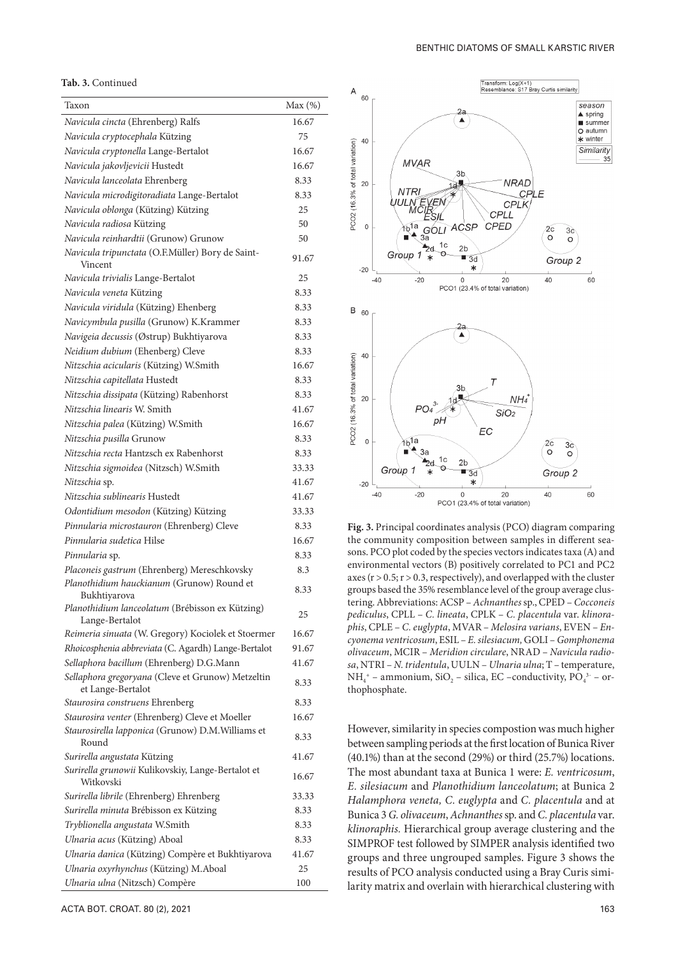## **Tab. 3.** Continued

| Taxon                                                                  | Max(%) |
|------------------------------------------------------------------------|--------|
| Navicula cincta (Ehrenberg) Ralfs                                      | 16.67  |
| Navicula cryptocephala Kützing                                         | 75     |
| Navicula cryptonella Lange-Bertalot                                    | 16.67  |
| Navicula jakovljevicii Hustedt                                         | 16.67  |
| Navicula lanceolata Ehrenberg                                          | 8.33   |
| Navicula microdigitoradiata Lange-Bertalot                             | 8.33   |
| Navicula oblonga (Kützing) Kützing                                     | 25     |
| Navicula radiosa Kützing                                               | 50     |
| Navicula reinhardtii (Grunow) Grunow                                   | 50     |
| Navicula tripunctata (O.F.Müller) Bory de Saint-<br>Vincent            | 91.67  |
| Navicula trivialis Lange-Bertalot                                      | 25     |
| Navicula veneta Kützing                                                | 8.33   |
| Navicula viridula (Kützing) Ehenberg                                   | 8.33   |
| Navicymbula pusilla (Grunow) K.Krammer                                 | 8.33   |
| Navigeia decussis (Østrup) Bukhtiyarova                                | 8.33   |
| Neidium dubium (Ehenberg) Cleve                                        | 8.33   |
| Nitzschia acicularis (Kützing) W.Smith                                 | 16.67  |
| Nitzschia capitellata Hustedt                                          | 8.33   |
| Nitzschia dissipata (Kützing) Rabenhorst                               | 8.33   |
| Nitzschia linearis W. Smith                                            | 41.67  |
| Nitzschia palea (Kützing) W.Smith                                      | 16.67  |
| Nitzschia pusilla Grunow                                               | 8.33   |
| Nitzschia recta Hantzsch ex Rabenhorst                                 | 8.33   |
| Nitzschia sigmoidea (Nitzsch) W.Smith                                  | 33.33  |
| Nitzschia sp.                                                          | 41.67  |
| Nitzschia sublinearis Hustedt                                          | 41.67  |
| Odontidium mesodon (Kützing) Kützing                                   | 33.33  |
| Pinnularia microstauron (Ehrenberg) Cleve                              | 8.33   |
| Pinnularia sudetica Hilse                                              | 16.67  |
| Pinnularia sp.                                                         | 8.33   |
| Placoneis gastrum (Ehrenberg) Mereschkovsky                            | 8.3    |
| Planothidium hauckianum (Grunow) Round et<br>Bukhtiyarova              | 8.33   |
| Planothidium lanceolatum (Brébisson ex Kützing)<br>Lange-Bertalot      | 25     |
| Reimeria sinuata (W. Gregory) Kociolek et Stoermer                     | 16.67  |
| Rhoicosphenia abbreviata (C. Agardh) Lange-Bertalot                    | 91.67  |
| Sellaphora bacillum (Ehrenberg) D.G.Mann                               | 41.67  |
| Sellaphora gregoryana (Cleve et Grunow) Metzeltin<br>et Lange-Bertalot | 8.33   |
| Staurosira construens Ehrenberg                                        | 8.33   |
| Staurosira venter (Ehrenberg) Cleve et Moeller                         | 16.67  |
| Staurosirella lapponica (Grunow) D.M. Williams et<br>Round             | 8.33   |
| Surirella angustata Kützing                                            | 41.67  |
| Surirella grunowii Kulikovskiy, Lange-Bertalot et<br>Witkovski         | 16.67  |
| Surirella librile (Ehrenberg) Ehrenberg                                | 33.33  |
| Surirella minuta Brébisson ex Kützing                                  | 8.33   |
| Tryblionella angustata W.Smith                                         | 8.33   |
| Ulnaria acus (Kützing) Aboal                                           | 8.33   |
| Ulnaria danica (Kützing) Compère et Bukhtiyarova                       | 41.67  |
| Ulnaria oxyrhynchus (Kützing) M.Aboal                                  | 25     |
| Ulnaria ulna (Nitzsch) Compère                                         | 100    |



**Fig. 3.** Principal coordinates analysis (PCO) diagram comparing the community composition between samples in different seasons. PCO plot coded by the species vectors indicates taxa (A) and environmental vectors (B) positively correlated to PC1 and PC2 axes ( $r > 0.5$ ;  $r > 0.3$ , respectively), and overlapped with the cluster groups based the 35% resemblance level of the group average clustering. Abbreviations: ACSP – *Achnanthes* sp., CPED – *Cocconeis pediculus*, CPLL – *C. lineata*, CPLK – *C. placentula* var. *klinoraphis*, CPLE – *C. euglypta*, MVAR – *Melosira varians*, EVEN – *Encyonema ventricosum*, ESIL – *E. silesiacum,* GOLI – *Gomphonema olivaceum*, MCIR – *Meridion circulare*, NRAD – *Navicula radiosa*, NTRI – *N. tridentula*, UULN – *Ulnaria ulna*; T – temperature,  $NH_4^+$  – ammonium, SiO<sub>2</sub> – silica, EC –conductivity, PO<sub>4</sub><sup>3-</sup> – orthophosphate.

However, similarity in species compostion was much higher between sampling periods at the first location of Bunica River (40.1%) than at the second (29%) or third (25.7%) locations. The most abundant taxa at Bunica 1 were: *E. ventricosum*, *E. silesiacum* and *Planothidium lanceolatum*; at Bunica 2 *Halamphora veneta, C. euglypta* and *C. placentula* and at Bunica 3 *G. olivaceum*, *Achnanthes* sp. and *C. placentula* var. *klinoraphis.* Hierarchical group average clustering and the SIMPROF test followed by SIMPER analysis identified two groups and three ungrouped samples. Figure 3 shows the results of PCO analysis conducted using a Bray Curis similarity matrix and overlain with hierarchical clustering with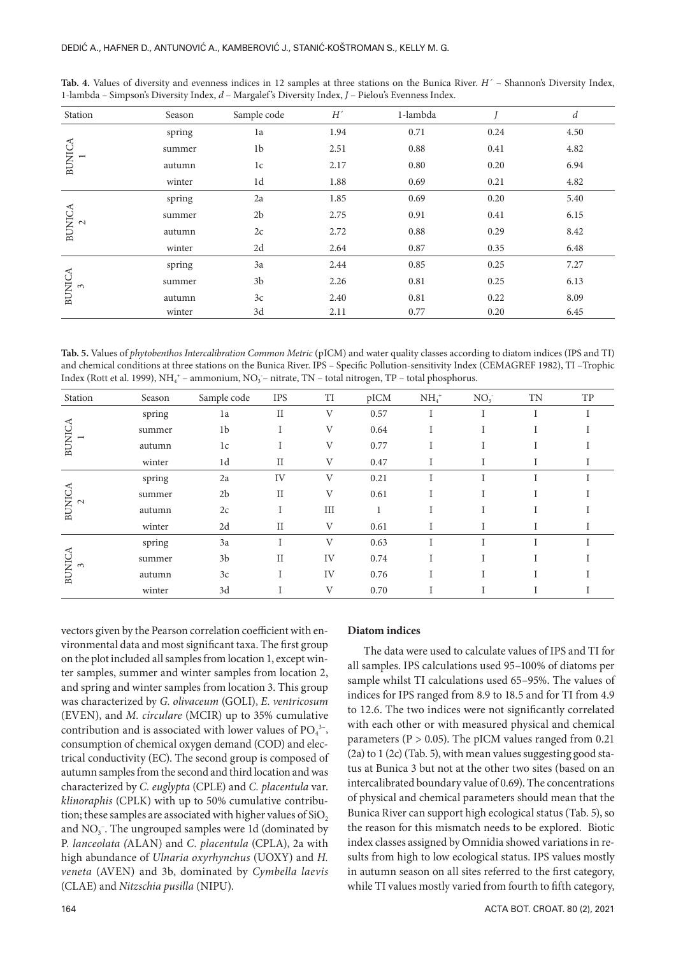| Station                   | Season | Sample code    | $H^\prime$ | 1-lambda |      | d    |
|---------------------------|--------|----------------|------------|----------|------|------|
|                           | spring | 1a             | 1.94       | 0.71     | 0.24 | 4.50 |
| <b>BUNICA</b>             | summer | 1b             | 2.51       | 0.88     | 0.41 | 4.82 |
|                           | autumn | 1c             | 2.17       | 0.80     | 0.20 | 6.94 |
|                           | winter | 1d             | 1.88       | 0.69     | 0.21 | 4.82 |
| <b>BUNICA</b>             | spring | 2a             | 1.85       | 0.69     | 0.20 | 5.40 |
|                           | summer | 2 <sub>b</sub> | 2.75       | 0.91     | 0.41 | 6.15 |
| $\sim$                    | autumn | 2c             | 2.72       | 0.88     | 0.29 | 8.42 |
|                           | winter | 2d             | 2.64       | 0.87     | 0.35 | 6.48 |
| <b>BUNICA</b><br>$\infty$ | spring | 3a             | 2.44       | 0.85     | 0.25 | 7.27 |
|                           | summer | 3 <sub>b</sub> | 2.26       | 0.81     | 0.25 | 6.13 |
|                           | autumn | 3c             | 2.40       | 0.81     | 0.22 | 8.09 |
|                           | winter | 3d             | 2.11       | 0.77     | 0.20 | 6.45 |

**Tab. 4.** Values of diversity and evenness indices in 12 samples at three stations on the Bunica River. *H´* – Shannon's Diversity Index, 1-lambda – Simpson's Diversity Index, *d* – Margalef 's Diversity Index, *J* – Pielou's Evenness Index.

**Tab. 5.** Values of *phytobenthos Intercalibration Common Metric* (pICM) and water quality classes according to diatom indices (IPS and TI) and chemical conditions at three stations on the Bunica River. IPS – Specific Pollution-sensitivity Index (CEMAGREF 1982), TI –Trophic Index (Rott et al. 1999), NH<sub>4</sub><sup>+</sup> – ammonium, NO<sub>3</sub><sup>-</sup> nitrate, TN – total nitrogen, TP – total phosphorus.

| Station                                             | Season | Sample code    | <b>IPS</b> | TI  | pICM | $NH4+$ | NO <sub>3</sub> | TN | TP |
|-----------------------------------------------------|--------|----------------|------------|-----|------|--------|-----------------|----|----|
| $\begin{array}{c}\text{BUMCA}\\ 1 \end{array}$      | spring | 1a             | $_{II}$    | V   | 0.57 |        |                 |    |    |
|                                                     | summer | 1b             |            | V   | 0.64 |        |                 |    |    |
|                                                     | autumn | 1c             |            | V   | 0.77 |        |                 |    |    |
|                                                     | winter | 1d             | $\rm II$   | V   | 0.47 |        |                 |    |    |
| BUNICA<br>2                                         | spring | 2a             | IV         | V   | 0.21 |        |                 |    |    |
|                                                     | summer | 2 <sub>b</sub> | $\rm II$   | V   | 0.61 |        |                 |    |    |
|                                                     | autumn | 2c             | I          | III |      |        |                 |    |    |
|                                                     | winter | 2d             | $\rm II$   | V   | 0.61 |        |                 |    |    |
| $\begin{array}{c}\n\text{BUNICA} \\ 3\n\end{array}$ | spring | 3a             | I          | V   | 0.63 | т      |                 |    |    |
|                                                     | summer | 3 <sub>b</sub> | $\rm II$   | IV  | 0.74 |        |                 |    |    |
|                                                     | autumn | 3c             | I          | IV  | 0.76 |        |                 |    |    |
|                                                     | winter | 3d             |            | V   | 0.70 |        |                 |    |    |

vectors given by the Pearson correlation coefficient with environmental data and most significant taxa. The first group on the plot included all samples from location 1, except winter samples, summer and winter samples from location 2, and spring and winter samples from location 3. This group was characterized by *G. olivaceum* (GOLI), *E. ventricosum*  (EVEN), and *M. circulare* (MCIR) up to 35% cumulative contribution and is associated with lower values of  $PO_4^{3-}$ , consumption of chemical oxygen demand (COD) and electrical conductivity (EC). The second group is composed of autumn samples from the second and third location and was characterized by *C. euglypta* (CPLE) and *C. placentula* var. *klinoraphis* (CPLK) with up to 50% cumulative contribution; these samples are associated with higher values of SiO<sub>2</sub> and  $NO<sub>3</sub>$ . The ungrouped samples were 1d (dominated by P*. lanceolata (*ALAN) and *C. placentula* (CPLA), 2a with high abundance of *Ulnaria oxyrhynchus* (UOXY) and *H. veneta* (AVEN) and 3b, dominated by *Cymbella laevis*  (CLAE) and *Nitzschia pusilla* (NIPU).

# **Diatom indices**

The data were used to calculate values of IPS and TI for all samples. IPS calculations used 95–100% of diatoms per sample whilst TI calculations used 65–95%. The values of indices for IPS ranged from 8.9 to 18.5 and for TI from 4.9 to 12.6. The two indices were not significantly correlated with each other or with measured physical and chemical parameters ( $P > 0.05$ ). The pICM values ranged from 0.21 (2a) to 1 (2c) (Tab. 5), with mean values suggesting good status at Bunica 3 but not at the other two sites (based on an intercalibrated boundary value of 0.69). The concentrations of physical and chemical parameters should mean that the Bunica River can support high ecological status (Tab. 5), so the reason for this mismatch needs to be explored. Biotic index classes assigned by Omnidia showed variations in results from high to low ecological status. IPS values mostly in autumn season on all sites referred to the first category, while TI values mostly varied from fourth to fifth category,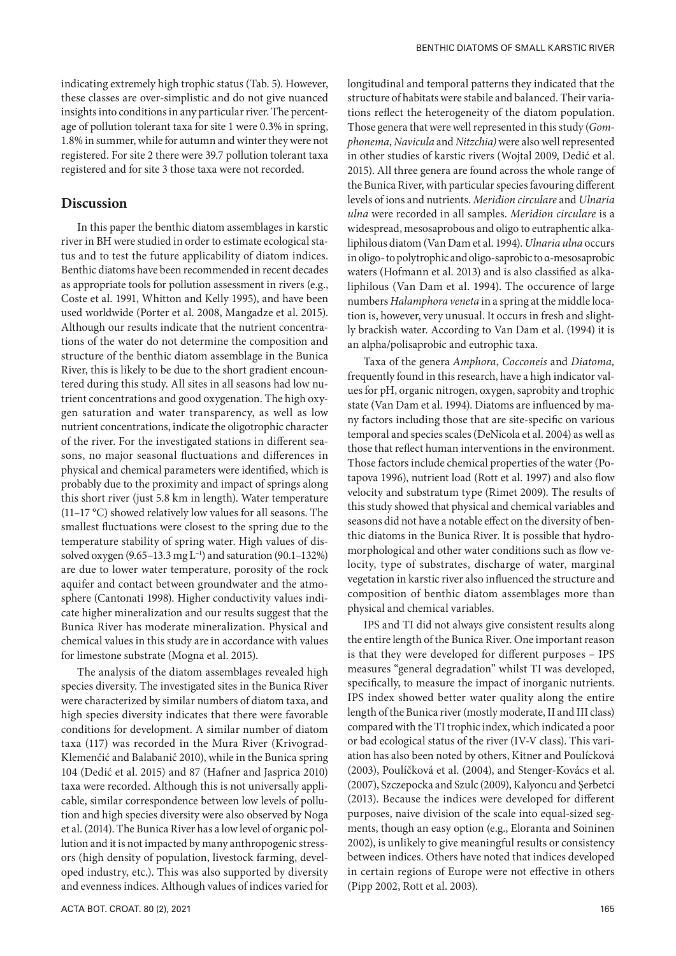indicating extremely high trophic status (Tab. 5). However, these classes are over-simplistic and do not give nuanced insights into conditions in any particular river. The percentage of pollution tolerant taxa for site 1 were 0.3% in spring, 1.8% in summer, while for autumn and winter they were not registered. For site 2 there were 39.7 pollution tolerant taxa registered and for site 3 those taxa were not recorded.

## **Discussion**

In this paper the benthic diatom assemblages in karstic river in BH were studied in order to estimate ecological status and to test the future applicability of diatom indices. Benthic diatoms have been recommended in recent decades as appropriate tools for pollution assessment in rivers (e.g., Coste et al. 1991, Whitton and Kelly 1995), and have been used worldwide (Porter et al. 2008, Mangadze et al. 2015). Although our results indicate that the nutrient concentrations of the water do not determine the composition and structure of the benthic diatom assemblage in the Bunica River, this is likely to be due to the short gradient encountered during this study. All sites in all seasons had low nutrient concentrations and good oxygenation. The high oxygen saturation and water transparency, as well as low nutrient concentrations, indicate the oligotrophic character of the river. For the investigated stations in different seasons, no major seasonal fluctuations and differences in physical and chemical parameters were identified, which is probably due to the proximity and impact of springs along this short river (just 5.8 km in length). Water temperature (11–17 °C) showed relatively low values for all seasons. The smallest fluctuations were closest to the spring due to the temperature stability of spring water. High values of dissolved oxygen  $(9.65-13.3 \text{ mg L}^{-1})$  and saturation  $(90.1-132\%)$ are due to lower water temperature, porosity of the rock aquifer and contact between groundwater and the atmosphere (Cantonati 1998). Higher conductivity values indicate higher mineralization and our results suggest that the Bunica River has moderate mineralization. Physical and chemical values in this study are in accordance with values for limestone substrate (Mogna et al. 2015).

The analysis of the diatom assemblages revealed high species diversity. The investigated sites in the Bunica River were characterized by similar numbers of diatom taxa, and high species diversity indicates that there were favorable conditions for development. A similar number of diatom taxa (117) was recorded in the Mura River (Krivograd-Klemenčić and Balabanič 2010), while in the Bunica spring 104 (Dedić et al. 2015) and 87 (Hafner and Jasprica 2010) taxa were recorded. Although this is not universally applicable, similar correspondence between low levels of pollution and high species diversity were also observed by Noga et al. (2014). The Bunica River has a low level of organic pollution and it is not impacted by many anthropogenic stressors (high density of population, livestock farming, developed industry, etc.). This was also supported by diversity and evenness indices. Although values of indices varied for

longitudinal and temporal patterns they indicated that the structure of habitats were stabile and balanced. Their variations reflect the heterogeneity of the diatom population. Those genera that were well represented in this study (*Gomphonema*, *Navicula* and *Nitzchia)* were also well represented in other studies of karstic rivers (Wojtal 2009, Dedić et al. 2015). All three genera are found across the whole range of the Bunica River, with particular species favouring different levels of ions and nutrients. *Meridion circulare* and *Ulnaria ulna* were recorded in all samples. *Meridion circulare* is a widespread, mesosaprobous and oligo to eutraphentic alkaliphilous diatom (Van Dam et al. 1994). *Ulnaria ulna* occurs in oligo- to polytrophic and oligo-saprobic to α-mesosaprobic waters (Hofmann et al. 2013) and is also classified as alkaliphilous (Van Dam et al. 1994). The occurence of large numbers *Halamphora veneta* in a spring at the middle location is, however, very unusual. It occurs in fresh and slightly brackish water. According to Van Dam et al. (1994) it is an alpha/polisaprobic and eutrophic taxa.

Taxa of the genera *Amphora*, *Cocconeis* and *Diatoma,* frequently found in this research, have a high indicator values for pH, organic nitrogen, oxygen, saprobity and trophic state (Van Dam et al. 1994). Diatoms are influenced by many factors including those that are site-specific on various temporal and species scales (DeNicola et al. 2004) as well as those that reflect human interventions in the environment. Those factors include chemical properties of the water (Potapova 1996), nutrient load (Rott et al. 1997) and also flow velocity and substratum type (Rimet 2009). The results of this study showed that physical and chemical variables and seasons did not have a notable effect on the diversity of benthic diatoms in the Bunica River. It is possible that hydromorphological and other water conditions such as flow velocity, type of substrates, discharge of water, marginal vegetation in karstic river also influenced the structure and composition of benthic diatom assemblages more than physical and chemical variables.

IPS and TI did not always give consistent results along the entire length of the Bunica River. One important reason is that they were developed for different purposes – IPS measures "general degradation" whilst TI was developed, specifically, to measure the impact of inorganic nutrients. IPS index showed better water quality along the entire length of the Bunica river (mostly moderate, II and III class) compared with the TI trophic index, which indicated a poor or bad ecological status of the river (IV-V class). This variation has also been noted by others, Kitner and Poulícková (2003), Poulíčková et al. (2004), and Stenger-Kovács et al. (2007), Szczepocka and Szulc (2009), Kalyoncu and Şerbetci (2013). Because the indices were developed for different purposes, naive division of the scale into equal-sized segments, though an easy option (e.g., Eloranta and Soininen 2002), is unlikely to give meaningful results or consistency between indices. Others have noted that indices developed in certain regions of Europe were not effective in others (Pipp 2002, Rott et al. 2003).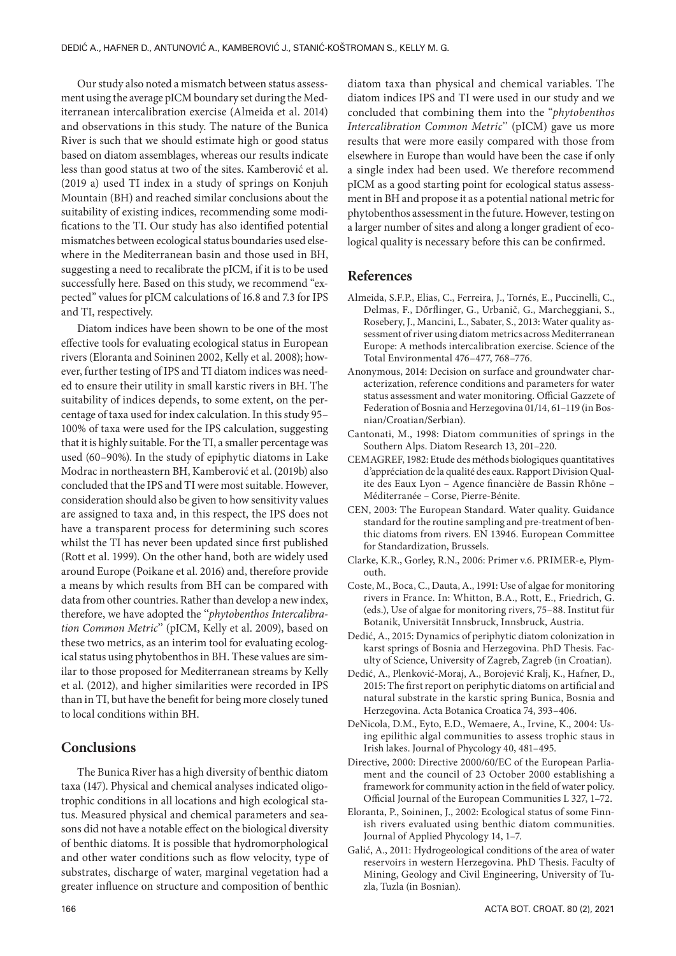Our study also noted a mismatch between status assessment using the average pICM boundary set during the Mediterranean intercalibration exercise (Almeida et al. 2014) and observations in this study. The nature of the Bunica River is such that we should estimate high or good status based on diatom assemblages, whereas our results indicate less than good status at two of the sites. Kamberović et al. (2019 a) used TI index in a study of springs on Konjuh Mountain (BH) and reached similar conclusions about the suitability of existing indices, recommending some modifications to the TI. Our study has also identified potential mismatches between ecological status boundaries used elsewhere in the Mediterranean basin and those used in BH, suggesting a need to recalibrate the pICM, if it is to be used successfully here. Based on this study, we recommend "expected" values for pICM calculations of 16.8 and 7.3 for IPS and TI, respectively.

Diatom indices have been shown to be one of the most effective tools for evaluating ecological status in European rivers (Eloranta and Soininen 2002, Kelly et al. 2008); however, further testing of IPS and TI diatom indices was needed to ensure their utility in small karstic rivers in BH. The suitability of indices depends, to some extent, on the percentage of taxa used for index calculation. In this study 95– 100% of taxa were used for the IPS calculation, suggesting that it is highly suitable. For the TI, a smaller percentage was used (60–90%). In the study of epiphytic diatoms in Lake Modrac in northeastern BH, Kamberović et al. (2019b) also concluded that the IPS and TI were most suitable. However, consideration should also be given to how sensitivity values are assigned to taxa and, in this respect, the IPS does not have a transparent process for determining such scores whilst the TI has never been updated since first published (Rott et al. 1999). On the other hand, both are widely used around Europe (Poikane et al. 2016) and, therefore provide a means by which results from BH can be compared with data from other countries. Rather than develop a new index, therefore, we have adopted the ''*phytobenthos Intercalibration Common Metric*'' (pICM, Kelly et al. 2009), based on these two metrics, as an interim tool for evaluating ecological status using phytobenthos in BH. These values are similar to those proposed for Mediterranean streams by Kelly et al. (2012), and higher similarities were recorded in IPS than in TI, but have the benefit for being more closely tuned to local conditions within BH.

# **Conclusions**

The Bunica River has a high diversity of benthic diatom taxa (147). Physical and chemical analyses indicated oligotrophic conditions in all locations and high ecological status. Measured physical and chemical parameters and seasons did not have a notable effect on the biological diversity of benthic diatoms. It is possible that hydromorphological and other water conditions such as flow velocity, type of substrates, discharge of water, marginal vegetation had a greater influence on structure and composition of benthic

diatom taxa than physical and chemical variables. The diatom indices IPS and TI were used in our study and we concluded that combining them into the "*phytobenthos Intercalibration Common Metric*'' (pICM) gave us more results that were more easily compared with those from elsewhere in Europe than would have been the case if only a single index had been used. We therefore recommend pICM as a good starting point for ecological status assessment in BH and propose it as a potential national metric for phytobenthos assessment in the future. However, testing on a larger number of sites and along a longer gradient of ecological quality is necessary before this can be confirmed.

# **References**

- Almeida, S.F.P., Elias, C., Ferreira, J., Tornés, E., Puccinelli, C., Delmas, F., Dőrflinger, G., Urbanič, G., Marcheggiani, S., Rosebery, J., Mancini, L., Sabater, S., 2013: Water quality assessment of river using diatom metrics across Mediterranean Europe: A methods intercalibration exercise. Science of the Total Environmental 476–477, 768–776.
- Anonymous, 2014: Decision on surface and groundwater characterization, reference conditions and parameters for water status assessment and water monitoring. Official Gazzete of Federation of Bosnia and Herzegovina 01/14, 61–119 (in Bosnian/Croatian/Serbian).
- Cantonati, M., 1998: Diatom communities of springs in the Southern Alps. Diatom Research 13, 201–220.
- CEMAGREF, 1982: Etude des méthods biologiques quantitatives d'appréciation de la qualité des eaux. Rapport Division Qualite des Eaux Lyon – Agence financière de Bassin Rhône – Méditerranée – Corse, Pierre-Bénite.
- CEN, 2003: The European Standard. Water quality. Guidance standard for the routine sampling and pre-treatment of benthic diatoms from rivers. EN 13946. European Committee for Standardization, Brussels.
- Clarke, K.R., Gorley, R.N., 2006: Primer v.6. PRIMER-e, Plymouth.
- Coste, M., Boca, C., Dauta, A., 1991: Use of algae for monitoring rivers in France. In: Whitton, B.A., Rott, E., Friedrich, G. (eds.), Use of algae for monitoring rivers, 75–88. Institut für Botanik, Universität Innsbruck, Innsbruck, Austria.
- Dedić, A., 2015: Dynamics of periphytic diatom colonization in karst springs of Bosnia and Herzegovina. PhD Thesis. Faculty of Science, University of Zagreb, Zagreb (in Croatian).
- Dedić, A., Plenković-Moraj, A., Borojević Kralj, K., Hafner, D., 2015: The first report on periphytic diatoms on artificial and natural substrate in the karstic spring Bunica, Bosnia and Herzegovina. Acta Botanica Croatica 74, 393–406.
- DeNicola, D.M., Eyto, E.D., Wemaere, A., Irvine, K., 2004: Using epilithic algal communities to assess trophic staus in Irish lakes. Journal of Phycology 40, 481–495.
- Directive, 2000: Directive 2000/60/EC of the European Parliament and the council of 23 October 2000 establishing a framework for community action in the field of water policy. Official Journal of the European Communities L 327, 1–72.
- Eloranta, P., Soininen, J., 2002: Ecological status of some Finnish rivers evaluated using benthic diatom communities. Journal of Applied Phycology 14, 1–7.
- Galić, A., 2011: Hydrogeological conditions of the area of water reservoirs in western Herzegovina. PhD Thesis. Faculty of Mining, Geology and Civil Engineering, University of Tuzla, Tuzla (in Bosnian).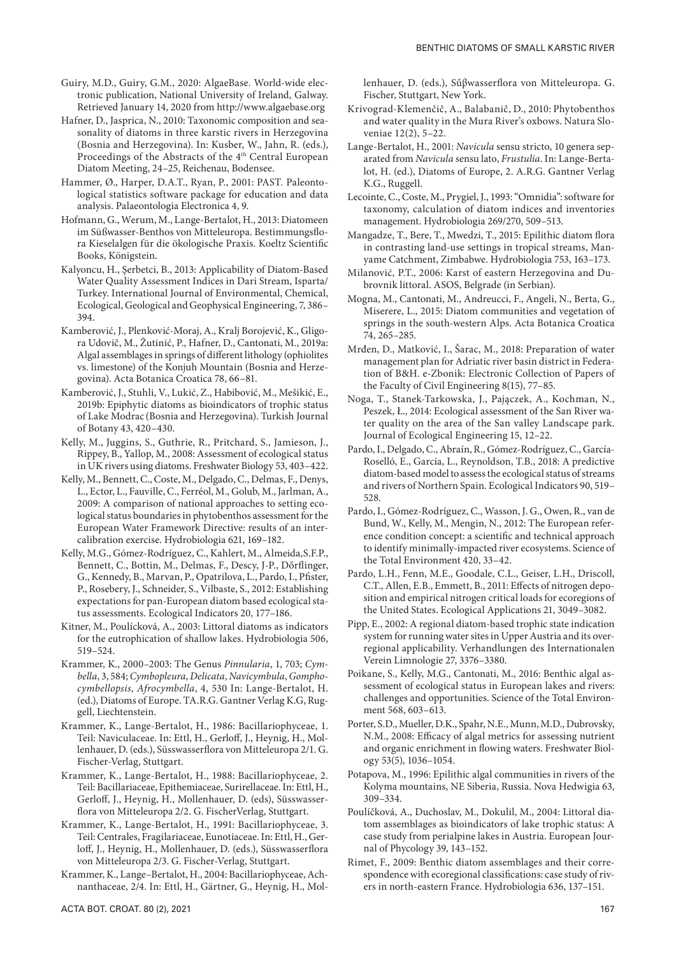- Guiry, M.D., Guiry, G.M., 2020: AlgaeBase*.* World-wide electronic publication, National University of Ireland, Galway. Retrieved January 14, 2020 from http://www.algaebase.org
- Hafner, D., Jasprica, N., 2010: Taxonomic composition and seasonality of diatoms in three karstic rivers in Herzegovina (Bosnia and Herzegovina). In: Kusber, W., Jahn, R. (eds.), Proceedings of the Abstracts of the 4th Central European Diatom Meeting, 24–25, Reichenau, Bodensee.
- Hammer, Ø., Harper, D.A.T., Ryan, P., 2001: PAST*.* Paleontological statistics software package for education and data analysis. Palaeontologia Electronica 4, 9.
- Hofmann, G., Werum, M., Lange-Bertalot, H., 2013: Diatomeen im Süßwasser-Benthos von Mitteleuropa. Bestimmungsflora Kieselalgen für die ökologische Praxis. Koeltz Scientific Books, Königstein.
- Kalyoncu, H., Şerbetci, B., 2013: Applicability of Diatom-Based Water Quality Assessment Indices in Dari Stream, Isparta/ Turkey. International Journal of Environmental, Chemical, Ecological, Geological and Geophysical Engineering, 7, 386– 394.
- Kamberović, J., Plenković-Moraj, A., Kralj Borojević, K., Gligora Udovič, M., Žutinić, P., Hafner, D., Cantonati, M., 2019a: Algal assemblages in springs of different lithology (ophiolites vs. limestone) of the Konjuh Mountain (Bosnia and Herzegovina). Acta Botanica Croatica 78, 66–81.
- Kamberović, J., Stuhli, V., Lukić, Z., Habibović, M., Mešikić, E., 2019b: Epiphytic diatoms as bioindicators of trophic status of Lake Modrac (Bosnia and Herzegovina). Turkish Journal of Botany 43, 420–430.
- Kelly, M., Juggins, S., Guthrie, R., Pritchard, S., Jamieson, J., Rippey, B., Yallop, M., 2008: Assessment of ecological status in UK rivers using diatoms. Freshwater Biology 53, 403–422.
- Kelly, M., Bennett, C., Coste, M., Delgado, C., Delmas, F., Denys, L., Ector, L., Fauville, C., Ferréol, M., Golub, M., Jarlman, A., 2009: A comparison of national approaches to setting ecological status boundaries in phytobenthos assessment for the European Water Framework Directive: results of an intercalibration exercise. Hydrobiologia 621, 169–182.
- Kelly, M.G., Gómez-Rodríguez, C., Kahlert, M., Almeida,S.F.P., Bennett, C., Bottin, M., Delmas, F., Descy, J-P., Dőrflinger, G., Kennedy, B., Marvan, P., Opatrilova, L., Pardo, I., Pfister, P., Rosebery, J., Schneider, S., Vilbaste, S., 2012: Establishing expectations for pan-European diatom based ecological status assessments. Ecological Indicators 20, 177–186.
- Kitner, M., Poulícková, A., 2003: Littoral diatoms as indicators for the eutrophication of shallow lakes. Hydrobiologia 506, 519–524.
- Krammer, K., 2000–2003: The Genus *Pinnularia*, 1, 703; *Cymbella*, 3, 584; *Cymbopleura*, *Delicata*, *Navicymbula*, *Gomphocymbellopsis*, *Afrocymbella*, 4, 530 In: Lange-Bertalot, H. (ed.), Diatoms of Europe. TA.R.G. Gantner Verlag K.G, Ruggell, Liechtenstein.
- Krammer, K., Lange-Bertalot, H., 1986: Bacillariophyceae, 1. Teil: Naviculaceae. In: Ettl, H., Gerloff, J., Heynig, H., Mollenhauer, D. (eds.), Süsswasserflora von Mitteleuropa 2/1. G. Fischer-Verlag, Stuttgart.
- Krammer, K., Lange-Bertalot, H., 1988: Bacillariophyceae, 2. Teil: Bacillariaceae, Epithemiaceae, Surirellaceae. In: Ettl, H., Gerloff, J., Heynig, H., Mollenhauer, D. (eds), Süsswasserflora von Mitteleuropa 2/2. G. FischerVerlag, Stuttgart.
- Krammer, K., Lange-Bertalot, H., 1991: Bacillariophyceae, 3. Teil: Centrales, Fragilariaceae, Eunotiaceae. In: Ettl, H., Gerloff, J., Heynig, H., Mollenhauer, D. (eds.), Süsswasserflora von Mitteleuropa 2/3. G. Fischer-Verlag, Stuttgart.
- Krammer, K., Lange–Bertalot, H., 2004: Bacillariophyceae, Achnanthaceae, 2/4. In: Ettl, H., Gärtner, G., Heynig, H., Mol-

lenhauer, D. (eds.), Sűβwasserflora von Mitteleuropa. G. Fischer, Stuttgart, New York.

- Krivograd-Klemenčič, A., Balabanič, D., 2010: Phytobenthos and water quality in the Mura River's oxbows. Natura Sloveniae 12(2), 5–22.
- Lange-Bertalot, H., 2001: *Navicula* sensu stricto, 10 genera separated from *Navicula* sensu lato, *Frustulia*. In: Lange-Bertalot, H. (ed.), Diatoms of Europe, 2. A.R.G. Gantner Verlag K.G., Ruggell.
- Lecointe, C., Coste, M., Prygiel, J., 1993: "Omnidia": software for taxonomy, calculation of diatom indices and inventories management. Hydrobiologia 269/270, 509–513.
- Mangadze, T., Bere, T., Mwedzi, T., 2015: Epilithic diatom flora in contrasting land-use settings in tropical streams, Manyame Catchment, Zimbabwe. Hydrobiologia 753, 163–173.
- Milanović, P.T., 2006: Karst of eastern Herzegovina and Dubrovnik littoral. ASOS, Belgrade (in Serbian).
- Mogna, M., Cantonati, M., Andreucci, F., Angeli, N., Berta, G., Miserere, L., 2015: Diatom communities and vegetation of springs in the south-western Alps. Acta Botanica Croatica 74, 265–285.
- Mrđen, D., Matković, I., Šarac, M., 2018: Preparation of water management plan for Adriatic river basin district in Federation of B&H. e-Zbonik: Electronic Collection of Papers of the Faculty of Civil Engineering 8(15), 77–85.
- Noga, T., Stanek-Tarkowska, J., Pajączek, A., Kochman, N., Peszek, Ł., 2014: Ecological assessment of the San River water quality on the area of the San valley Landscape park. Journal of Ecological Engineering 15, 12–22.
- Pardo, I., Delgado, C., Abraín, R., Gómez-Rodríguez, C., García-Roselló, E., García, L., Reynoldson, T.B., 2018: A predictive diatom-based model to assess the ecological status of streams and rivers of Northern Spain. Ecological Indicators 90, 519– 528.
- Pardo, I., Gómez-Rodríguez, C., Wasson, J. G., Owen, R., van de Bund, W., Kelly, M., Mengin, N., 2012: The European reference condition concept: a scientific and technical approach to identify minimally-impacted river ecosystems. Science of the Total Environment 420, 33–42.
- Pardo, L.H., Fenn, M.E., Goodale, C.L., Geiser, L.H., Driscoll, C.T., Allen, E.B., Emmett, B., 2011: Effects of nitrogen deposition and empirical nitrogen critical loads for ecoregions of the United States. Ecological Applications 21, 3049–3082.
- Pipp, E., 2002: A regional diatom-based trophic state indication system for running water sites in Upper Austria and its overregional applicability. Verhandlungen des Internationalen Verein Limnologie 27, 3376–3380.
- Poikane, S., Kelly, M.G., Cantonati, M., 2016: Benthic algal assessment of ecological status in European lakes and rivers: challenges and opportunities. Science of the Total Environment 568, 603–613.
- Porter, S.D., Mueller, D.K., Spahr, N.E., Munn, M.D., Dubrovsky, N.M., 2008: Efficacy of algal metrics for assessing nutrient and organic enrichment in flowing waters. Freshwater Biology 53(5), 1036–1054.
- Potapova, M., 1996: Epilithic algal communities in rivers of the Kolyma mountains, NE Siberia, Russia. Nova Hedwigia 63, 309–334.
- Poulíčková, A., Duchoslav, M., Dokulil, M., 2004: Littoral diatom assemblages as bioindicators of lake trophic status: A case study from perialpine lakes in Austria. European Journal of Phycology 39, 143–152.
- Rimet, F., 2009: Benthic diatom assemblages and their correspondence with ecoregional classifications: case study of rivers in north-eastern France. Hydrobiologia 636, 137–151.